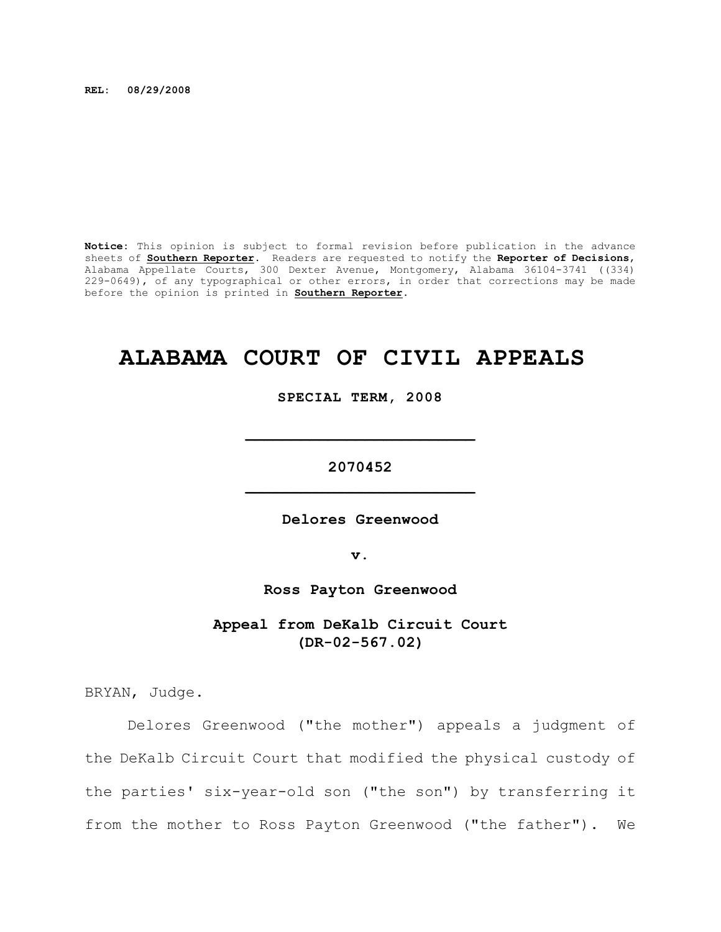**REL: 08/29/2008**

**Notice:** This opinion is subject to formal revision before publication in the advance sheets of **Southern Reporter**. Readers are requested to notify the **Reporter of Decisions**, Alabama Appellate Courts, 300 Dexter Avenue, Montgomery, Alabama 36104-3741 ((334) 229-0649), of any typographical or other errors, in order that corrections may be made before the opinion is printed in **Southern Reporter**.

# **ALABAMA COURT OF CIVIL APPEALS**

**SPECIAL TERM, 2008**

**\_\_\_\_\_\_\_\_\_\_\_\_\_\_\_\_\_\_\_\_\_\_\_\_\_**

**2070452 \_\_\_\_\_\_\_\_\_\_\_\_\_\_\_\_\_\_\_\_\_\_\_\_\_**

**Delores Greenwood**

**v.**

**Ross Payton Greenwood**

**Appeal from DeKalb Circuit Court (DR-02-567.02)**

BRYAN, Judge.

Delores Greenwood ("the mother") appeals a judgment of the DeKalb Circuit Court that modified the physical custody of the parties' six-year-old son ("the son") by transferring it from the mother to Ross Payton Greenwood ("the father"). We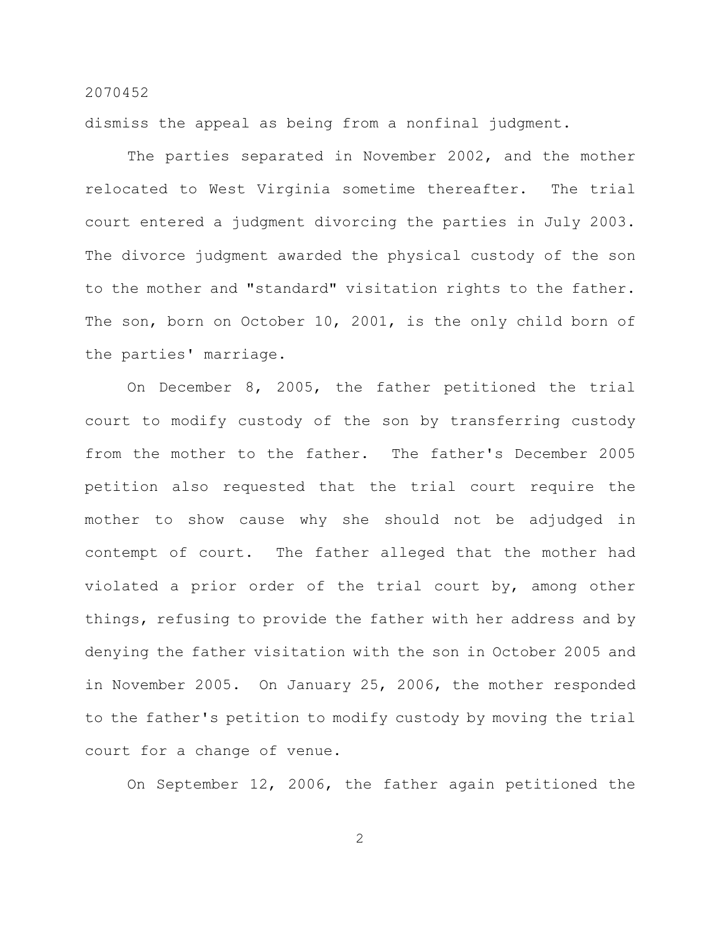dismiss the appeal as being from a nonfinal judgment.

The parties separated in November 2002, and the mother relocated to West Virginia sometime thereafter. The trial court entered a judgment divorcing the parties in July 2003. The divorce judgment awarded the physical custody of the son to the mother and "standard" visitation rights to the father. The son, born on October 10, 2001, is the only child born of the parties' marriage.

On December 8, 2005, the father petitioned the trial court to modify custody of the son by transferring custody from the mother to the father. The father's December 2005 petition also requested that the trial court require the mother to show cause why she should not be adjudged in contempt of court. The father alleged that the mother had violated a prior order of the trial court by, among other things, refusing to provide the father with her address and by denying the father visitation with the son in October 2005 and in November 2005. On January 25, 2006, the mother responded to the father's petition to modify custody by moving the trial court for a change of venue.

On September 12, 2006, the father again petitioned the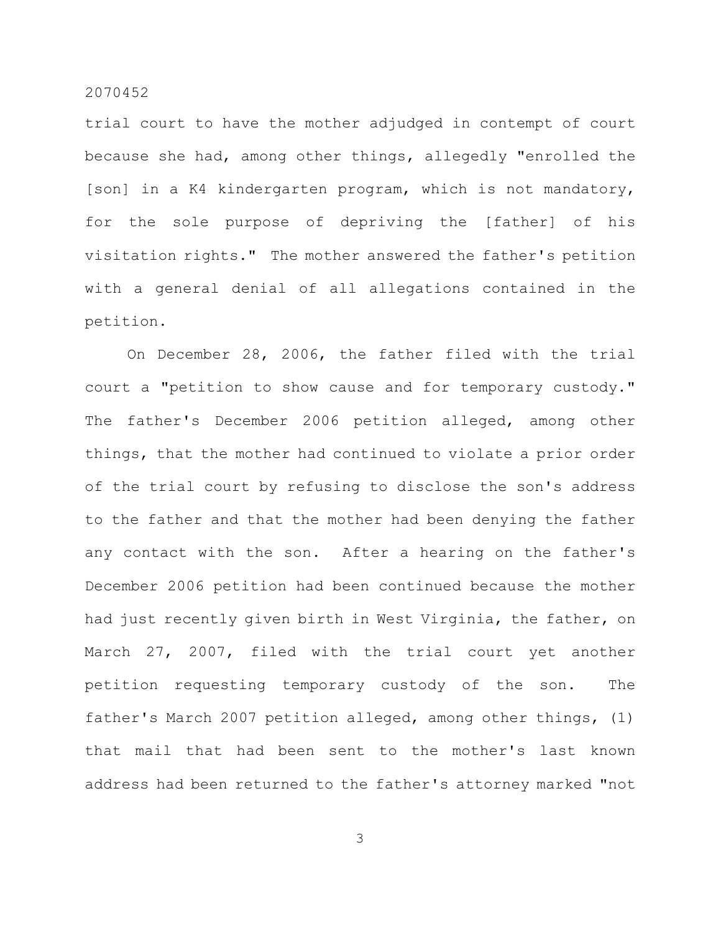trial court to have the mother adjudged in contempt of court because she had, among other things, allegedly "enrolled the [son] in a K4 kindergarten program, which is not mandatory, for the sole purpose of depriving the [father] of his visitation rights." The mother answered the father's petition with a general denial of all allegations contained in the petition.

On December 28, 2006, the father filed with the trial court a "petition to show cause and for temporary custody." The father's December 2006 petition alleged, among other things, that the mother had continued to violate a prior order of the trial court by refusing to disclose the son's address to the father and that the mother had been denying the father any contact with the son. After a hearing on the father's December 2006 petition had been continued because the mother had just recently given birth in West Virginia, the father, on March 27, 2007, filed with the trial court yet another petition requesting temporary custody of the son. The father's March 2007 petition alleged, among other things, (1) that mail that had been sent to the mother's last known address had been returned to the father's attorney marked "not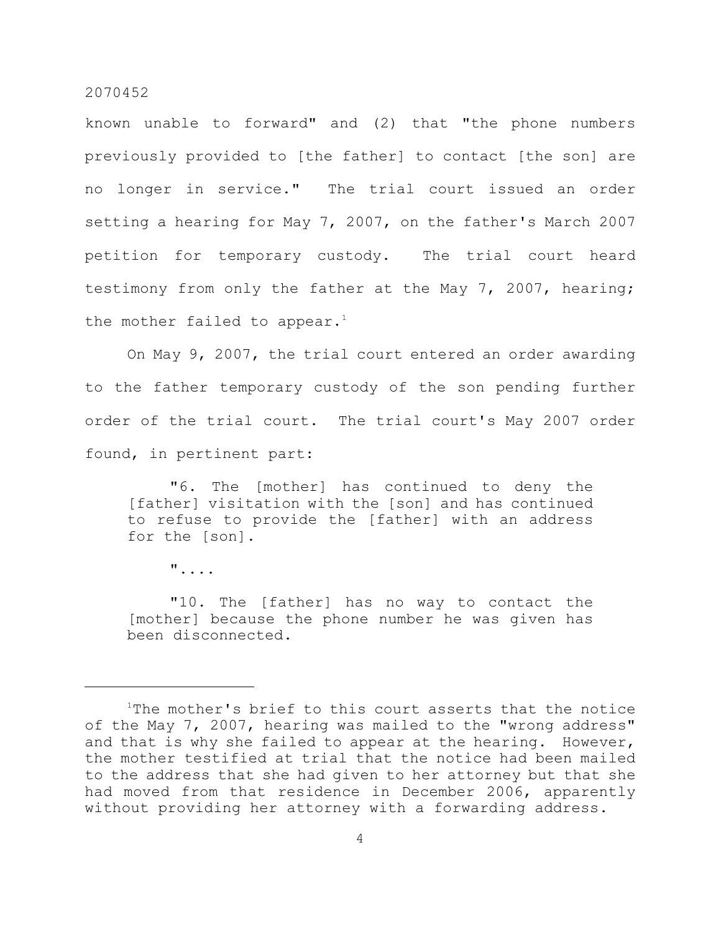known unable to forward" and (2) that "the phone numbers previously provided to [the father] to contact [the son] are no longer in service." The trial court issued an order setting a hearing for May 7, 2007, on the father's March 2007 petition for temporary custody. The trial court heard testimony from only the father at the May 7, 2007, hearing; the mother failed to appear.<sup>1</sup>

On May 9, 2007, the trial court entered an order awarding to the father temporary custody of the son pending further order of the trial court. The trial court's May 2007 order found, in pertinent part:

"6. The [mother] has continued to deny the [father] visitation with the [son] and has continued to refuse to provide the [father] with an address for the [son].

"....

"10. The [father] has no way to contact the [mother] because the phone number he was given has been disconnected.

 $1$ The mother's brief to this court asserts that the notice of the May 7, 2007, hearing was mailed to the "wrong address" and that is why she failed to appear at the hearing. However, the mother testified at trial that the notice had been mailed to the address that she had given to her attorney but that she had moved from that residence in December 2006, apparently without providing her attorney with a forwarding address.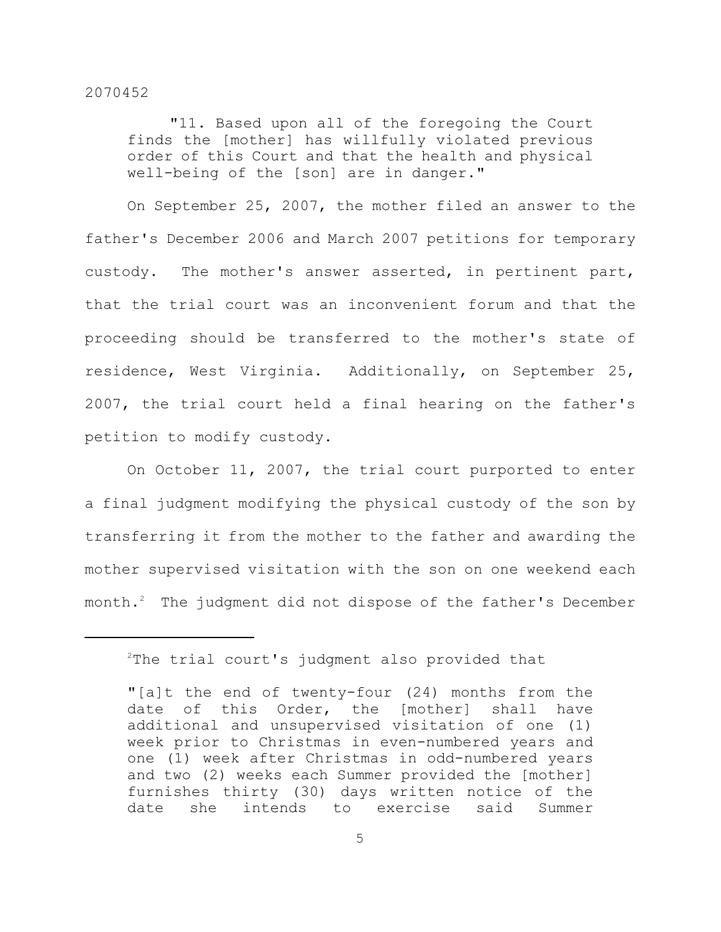"11. Based upon all of the foregoing the Court finds the [mother] has willfully violated previous order of this Court and that the health and physical well-being of the [son] are in danger."

On September 25, 2007, the mother filed an answer to the father's December 2006 and March 2007 petitions for temporary custody. The mother's answer asserted, in pertinent part, that the trial court was an inconvenient forum and that the proceeding should be transferred to the mother's state of residence, West Virginia. Additionally, on September 25, 2007, the trial court held a final hearing on the father's petition to modify custody.

On October 11, 2007, the trial court purported to enter a final judgment modifying the physical custody of the son by transferring it from the mother to the father and awarding the mother supervised visitation with the son on one weekend each month. $^2$  The judgment did not dispose of the father's December

 $2$ The trial court's judgment also provided that

<sup>&</sup>quot;[a]t the end of twenty-four (24) months from the date of this Order, the [mother] shall have additional and unsupervised visitation of one (1) week prior to Christmas in even-numbered years and one (1) week after Christmas in odd-numbered years and two (2) weeks each Summer provided the [mother] furnishes thirty (30) days written notice of the date she intends to exercise said Summer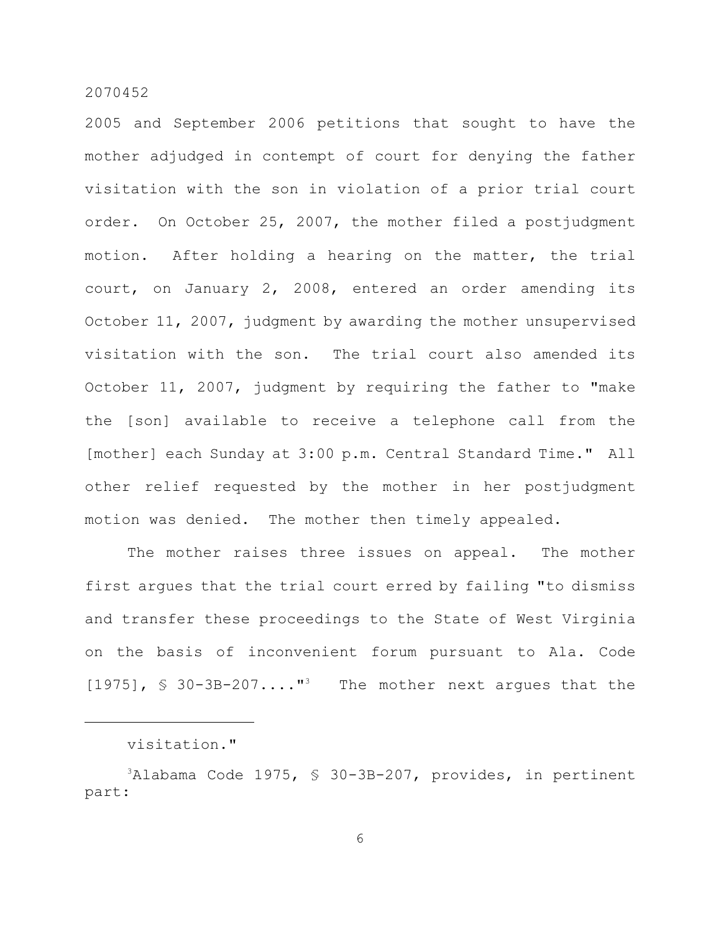2005 and September 2006 petitions that sought to have the mother adjudged in contempt of court for denying the father visitation with the son in violation of a prior trial court order. On October 25, 2007, the mother filed a postjudgment motion. After holding a hearing on the matter, the trial court, on January 2, 2008, entered an order amending its October 11, 2007, judgment by awarding the mother unsupervised visitation with the son. The trial court also amended its October 11, 2007, judgment by requiring the father to "make the [son] available to receive a telephone call from the [mother] each Sunday at 3:00 p.m. Central Standard Time." All other relief requested by the mother in her postjudgment motion was denied. The mother then timely appealed.

The mother raises three issues on appeal. The mother first argues that the trial court erred by failing "to dismiss and transfer these proceedings to the State of West Virginia on the basis of inconvenient forum pursuant to Ala. Code  $[1975]$ , § 30-3B-207...."<sup>3</sup> The mother next argues that the

visitation."

 $3$ Alabama Code 1975, § 30-3B-207, provides, in pertinent part: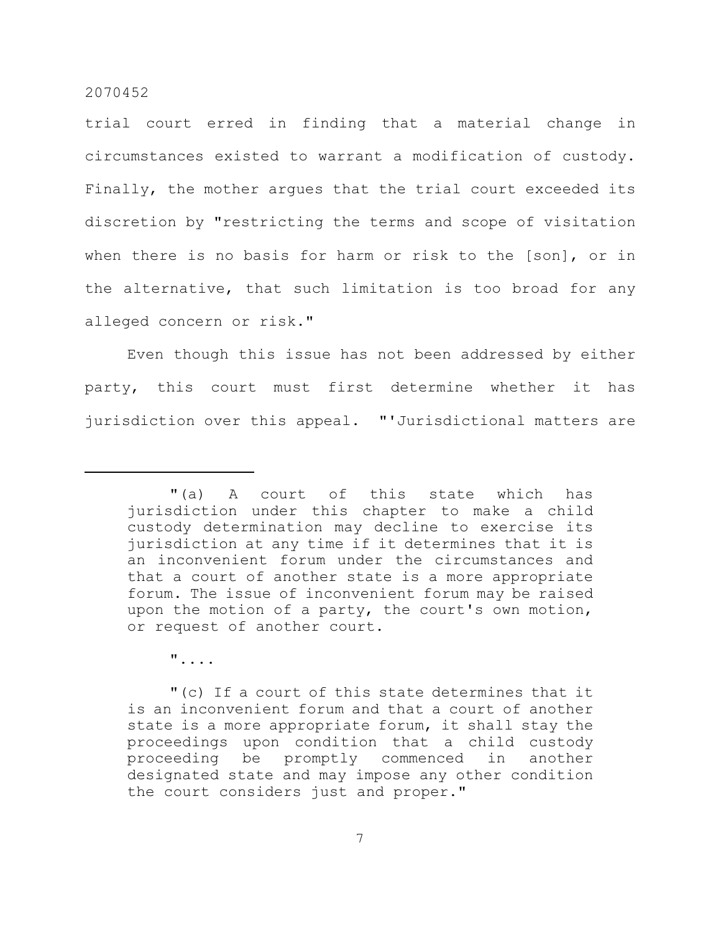trial court erred in finding that a material change in circumstances existed to warrant a modification of custody. Finally, the mother argues that the trial court exceeded its discretion by "restricting the terms and scope of visitation when there is no basis for harm or risk to the [son], or in the alternative, that such limitation is too broad for any alleged concern or risk."

Even though this issue has not been addressed by either party, this court must first determine whether it has jurisdiction over this appeal. "'Jurisdictional matters are

"....

"(c) If a court of this state determines that it is an inconvenient forum and that a court of another state is a more appropriate forum, it shall stay the proceedings upon condition that a child custody proceeding be promptly commenced in another designated state and may impose any other condition the court considers just and proper."

<sup>&</sup>quot;(a) A court of this state which has jurisdiction under this chapter to make a child custody determination may decline to exercise its jurisdiction at any time if it determines that it is an inconvenient forum under the circumstances and that a court of another state is a more appropriate forum. The issue of inconvenient forum may be raised upon the motion of a party, the court's own motion, or request of another court.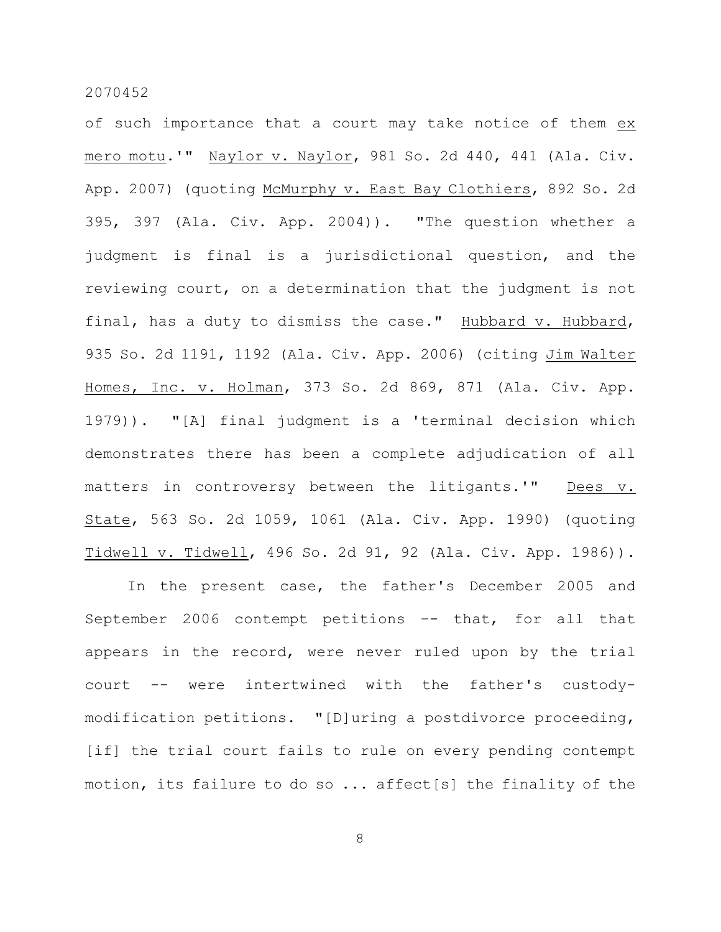of such importance that a court may take notice of them ex mero motu.'" Naylor v. Naylor, 981 So. 2d 440, 441 (Ala. Civ. App. 2007) (quoting McMurphy v. East Bay Clothiers, 892 So. 2d 395, 397 (Ala. Civ. App. 2004)). "The question whether a judgment is final is a jurisdictional question, and the reviewing court, on a determination that the judgment is not final, has a duty to dismiss the case." Hubbard v. Hubbard, 935 So. 2d 1191, 1192 (Ala. Civ. App. 2006) (citing Jim Walter Homes, Inc. v. Holman, 373 So. 2d 869, 871 (Ala. Civ. App. 1979)). "[A] final judgment is a 'terminal decision which demonstrates there has been a complete adjudication of all matters in controversy between the litigants.'" Dees v. State, 563 So. 2d 1059, 1061 (Ala. Civ. App. 1990) (quoting Tidwell v. Tidwell, 496 So. 2d 91, 92 (Ala. Civ. App. 1986)).

In the present case, the father's December 2005 and September 2006 contempt petitions –- that, for all that appears in the record, were never ruled upon by the trial court -- were intertwined with the father's custodymodification petitions. "[D]uring a postdivorce proceeding, [if] the trial court fails to rule on every pending contempt motion, its failure to do so ... affect[s] the finality of the